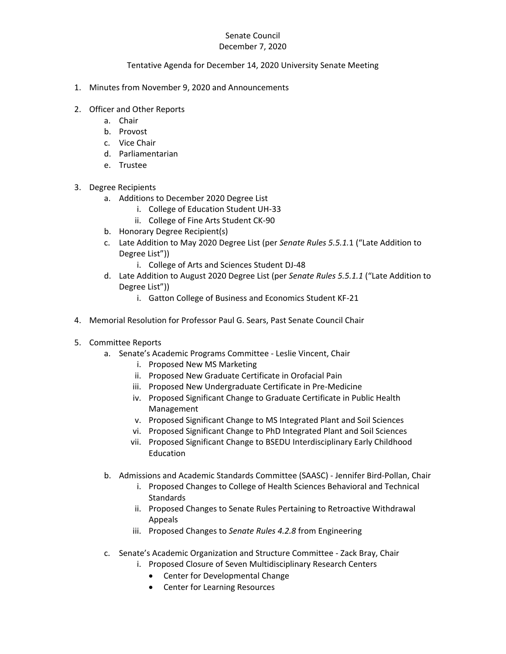## Senate Council

## December 7, 2020

## Tentative Agenda for December 14, 2020 University Senate Meeting

- 1. Minutes from November 9, 2020 and Announcements
- 2. Officer and Other Reports
	- a. Chair
	- b. Provost
	- c. Vice Chair
	- d. Parliamentarian
	- e. Trustee
- 3. Degree Recipients
	- a. Additions to December 2020 Degree List
		- i. College of Education Student UH-33
		- ii. College of Fine Arts Student CK-90
	- b. Honorary Degree Recipient(s)
	- c. Late Addition to May 2020 Degree List (per *Senate Rules 5.5.1.*1 ("Late Addition to Degree List"))
		- i. College of Arts and Sciences Student DJ-48
	- d. Late Addition to August 2020 Degree List (per *Senate Rules 5.5.1.1* ("Late Addition to Degree List"))
		- i. Gatton College of Business and Economics Student KF-21
- 4. Memorial Resolution for Professor Paul G. Sears, Past Senate Council Chair
- 5. Committee Reports
	- a. Senate's Academic Programs Committee Leslie Vincent, Chair
		- i. Proposed New MS Marketing
		- ii. Proposed New Graduate Certificate in Orofacial Pain
		- iii. Proposed New Undergraduate Certificate in Pre-Medicine
		- iv. Proposed Significant Change to Graduate Certificate in Public Health Management
		- v. Proposed Significant Change to MS Integrated Plant and Soil Sciences
		- vi. Proposed Significant Change to PhD Integrated Plant and Soil Sciences
		- vii. Proposed Significant Change to BSEDU Interdisciplinary Early Childhood Education
	- b. Admissions and Academic Standards Committee (SAASC) Jennifer Bird-Pollan, Chair
		- i. Proposed Changes to College of Health Sciences Behavioral and Technical **Standards**
		- ii. Proposed Changes to Senate Rules Pertaining to Retroactive Withdrawal Appeals
		- iii. Proposed Changes to *Senate Rules 4.2.8* from Engineering
	- c. Senate's Academic Organization and Structure Committee Zack Bray, Chair
		- i. Proposed Closure of Seven Multidisciplinary Research Centers
			- Center for Developmental Change
			- Center for Learning Resources